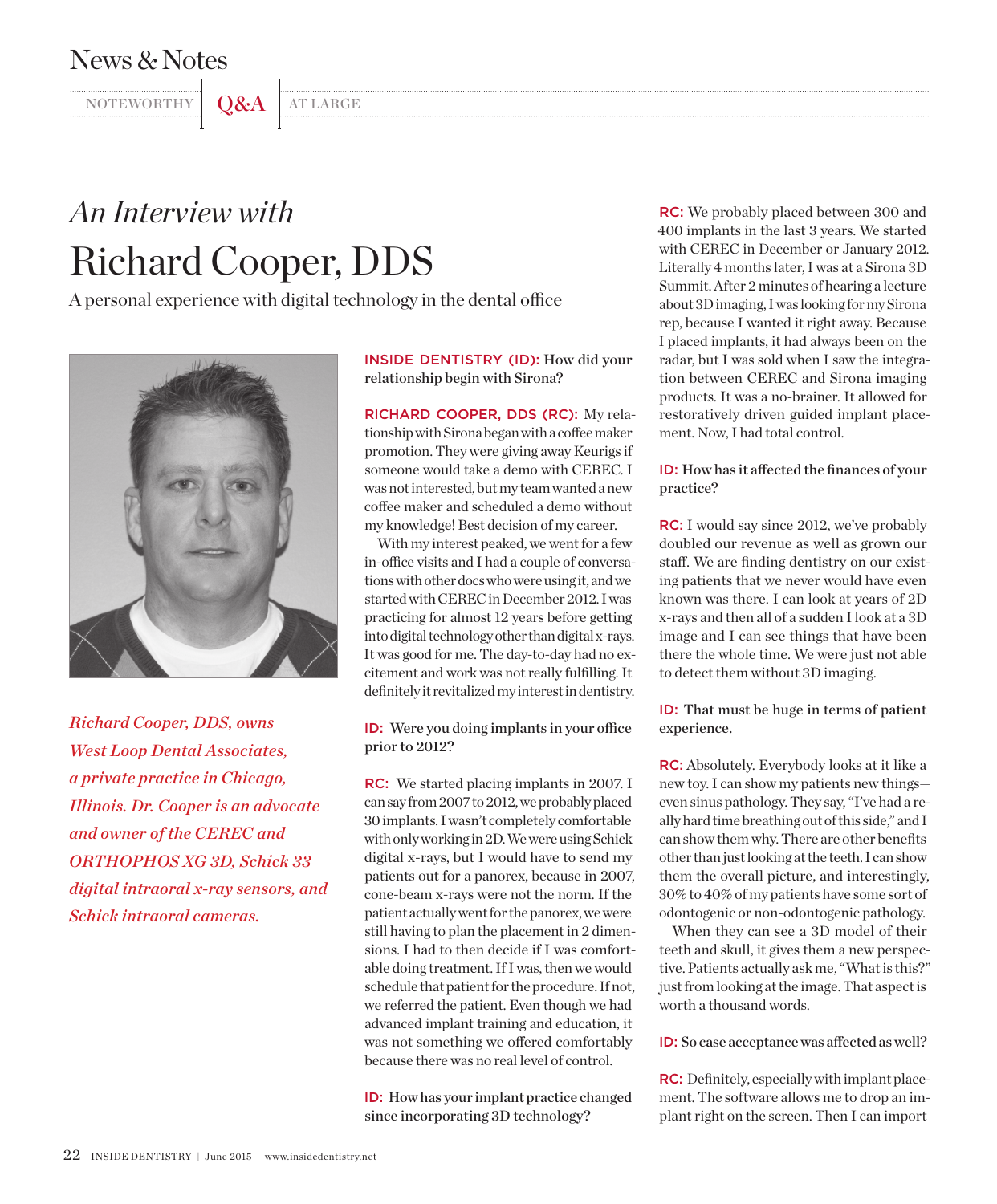## News & Notes

NOTEWORTHY Q&A AT LARGE

## *An Interview with* Richard Cooper, DDS

A personal experience with digital technology in the dental office



*Richard Cooper, DDS, owns West Loop Dental Associates, a private practice in Chicago, Illinois. Dr. Cooper is an advocate and owner of the CEREC and ORTHOPHOS XG 3D, Schick 33 digital intraoral x-ray sensors, and Schick intraoral cameras.*

INSIDE DENTISTRY (ID): How did your relationship begin with Sirona?

RICHARD COOPER, DDS (RC): My relationship with Sirona began with a coffee maker promotion. They were giving away Keurigs if someone would take a demo with CEREC. I was not interested, but my team wanted a new coffee maker and scheduled a demo without my knowledge! Best decision of my career.

With my interest peaked, we went for a few in-office visits and I had a couple of conversations with other docs who were using it, and we started with CEREC in December 2012. I was practicing for almost 12 years before getting into digital technology other than digital x-rays. It was good for me. The day-to-day had no excitement and work was not really fulfilling. It definitely it revitalized my interest in dentistry.

ID: Were you doing implants in your office prior to 2012?

RC: We started placing implants in 2007. I can say from 2007 to 2012, we probably placed 30 implants. I wasn't completely comfortable with only working in 2D. We were using Schick digital x-rays, but I would have to send my patients out for a panorex, because in 2007, cone-beam x-rays were not the norm. If the patient actually went for the panorex, we were still having to plan the placement in 2 dimensions. I had to then decide if I was comfortable doing treatment. If I was, then we would schedule that patient for the procedure. If not, we referred the patient. Even though we had advanced implant training and education, it was not something we offered comfortably because there was no real level of control.

ID: How has your implant practice changed since incorporating 3D technology?

RC: We probably placed between 300 and 400 implants in the last 3 years. We started with CEREC in December or January 2012. Literally 4 months later, I was at a Sirona 3D Summit. After 2 minutes of hearing a lecture about 3D imaging, I was looking for my Sirona rep, because I wanted it right away. Because I placed implants, it had always been on the radar, but I was sold when I saw the integration between CEREC and Sirona imaging products. It was a no-brainer. It allowed for restoratively driven guided implant placement. Now, I had total control.

ID: How has it affected the finances of your practice?

RC: I would say since 2012, we've probably doubled our revenue as well as grown our staff. We are finding dentistry on our existing patients that we never would have even known was there. I can look at years of 2D x-rays and then all of a sudden I look at a 3D image and I can see things that have been there the whole time. We were just not able to detect them without 3D imaging.

ID: That must be huge in terms of patient experience.

RC: Absolutely. Everybody looks at it like a new toy. I can show my patients new things even sinus pathology. They say, "I've had a really hard time breathing out of this side," and I can show them why. There are other benefits other than just looking at the teeth. I can show them the overall picture, and interestingly, 30% to 40% of my patients have some sort of odontogenic or non-odontogenic pathology.

When they can see a 3D model of their teeth and skull, it gives them a new perspective. Patients actually ask me, "What is this?" just from looking at the image. That aspect is worth a thousand words.

## ID: So case acceptance was affected as well?

RC: Definitely, especially with implant placement. The software allows me to drop an implant right on the screen. Then I can import